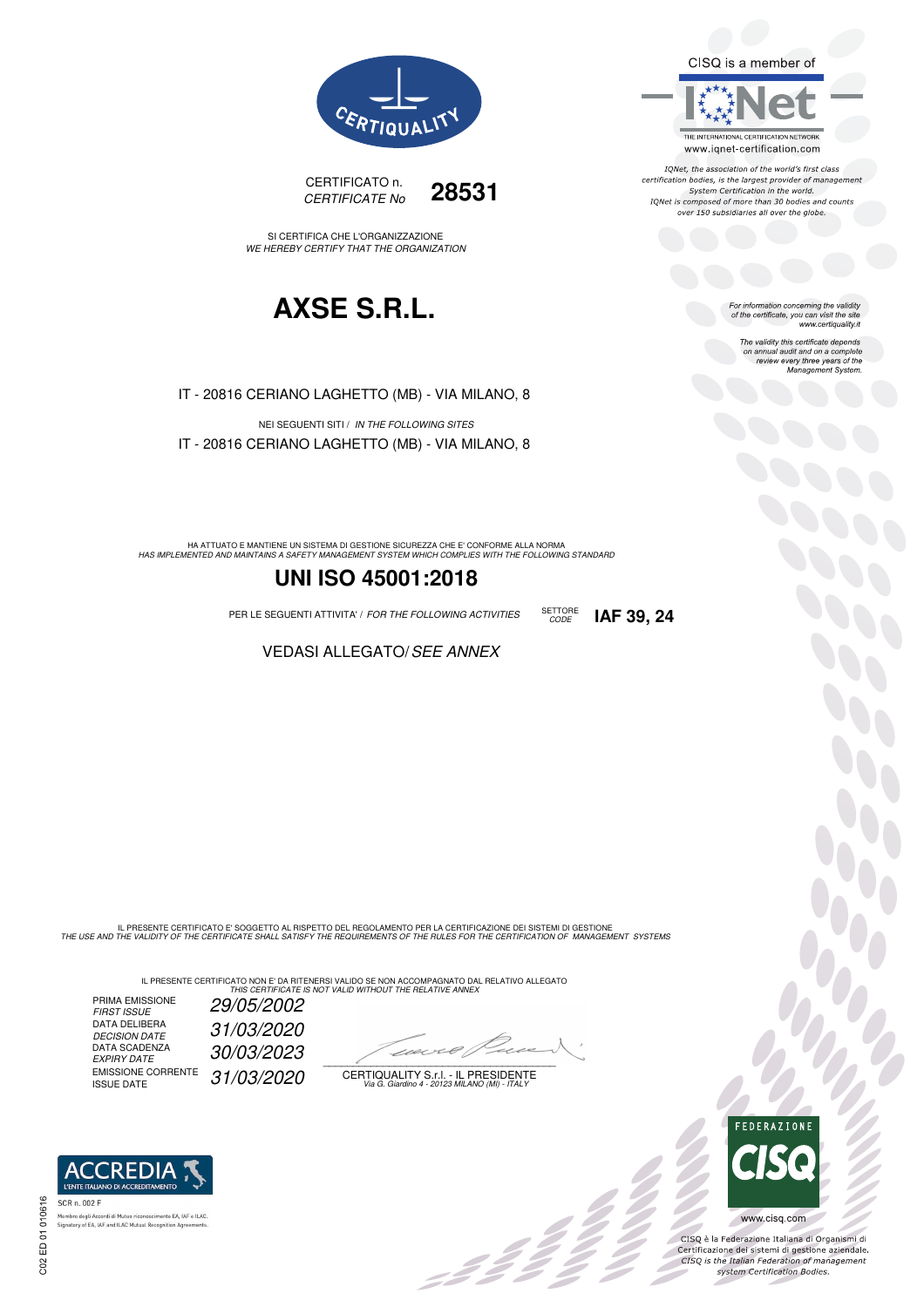CISQ is a member of



IQNet, the association of the world's first class<br>certification bodies, is the largest provider of management System Certification in the world.<br>IQNet is composed of more than 30 bodies and counts over 150 subsidiaries all over the globe.

CODE **IAF 39, 24**

For information concerning the validity<br>of the certificate, you can visit the site www.certiquality.it

> The validity this certificate depends on annual audit and on a complete<br>on annual audit and on a complete<br>review every three years of the<br>Management System.





SI CERTIFICA CHE L'ORGANIZZAZIONE WE HEREBY CERTIFY THAT THE ORGANIZATION

## **AXSE S.R.L.**

IT - 20816 CERIANO LAGHETTO (MB) - VIA MILANO, 8

NEI SEGUENTI SITI / IN THE FOLLOWING SITES IT - 20816 CERIANO LAGHETTO (MB) - VIA MILANO, 8

HA ATTUATO E MANTIENE UN SISTEMA DI GESTIONE SICUREZZA CHE E' CONFORME ALLA NORMA<br>HAS IMPLEMENTED AND MAINTAINS A SAFETY MANAGEMENT SYSTEM WHICH COMPLIES WITH THE FOLLOWING STANDARD

## **UNI ISO 45001:2018**

PER LE SEGUENTI ATTIVITA' / FOR THE FOLLOWING ACTIVITIES SETTORE

VEDASI ALLEGATO/SEE ANNEX

IL PRESENTE CERTIFICATO E' SOGGETTO AL RISPETTO DEL REGOLAMENTO PER LA CERTIFICAZIONE DEI SISTEMI DI GESTIONE<br>THE USE AND THE VALIDITY OF THE CERTIFICATE SHALL SATISFY THE REQUIREMENTS OF THE RULES FOR THE CERTIFICATION OF

IL PRESENTE CERTIFICATO NON E' DA RITENERSI VALIDO SE NON ACCOMPAGNATO DAL RELATIVO ALLEGATO<br>*THIS CERTIFICATE IS NOT VALID WITHOUT THE RELATIVE ANNEX* 

PRIMA EMISSIONE FIRST ISSUE 29/05/2002 DATA DELIBERA 31/03/2020 DECISION DATE<br>DATA SCADENZA<br>EXPIRY DATE EXPIRY DATE 30/03/2023 EMISSIONE CORRENTE<br>ISSUE DATE 31/03/2020

 $\overline{\phantom{a}}$ 

-111

CERTIQUALITY S.r.l. - IL PRESIDENTE Via G. Giardino 4 - 20123 MILANO (MI) - ITALY



OCO

CISQ è la Federazione Italiana di Organismi di Crista e la Federazione Transma di Organismi di<br>Certificazione dei sistemi di gestione aziendale.<br>CISQ is the Italian Federation of management system Certification Bodies.

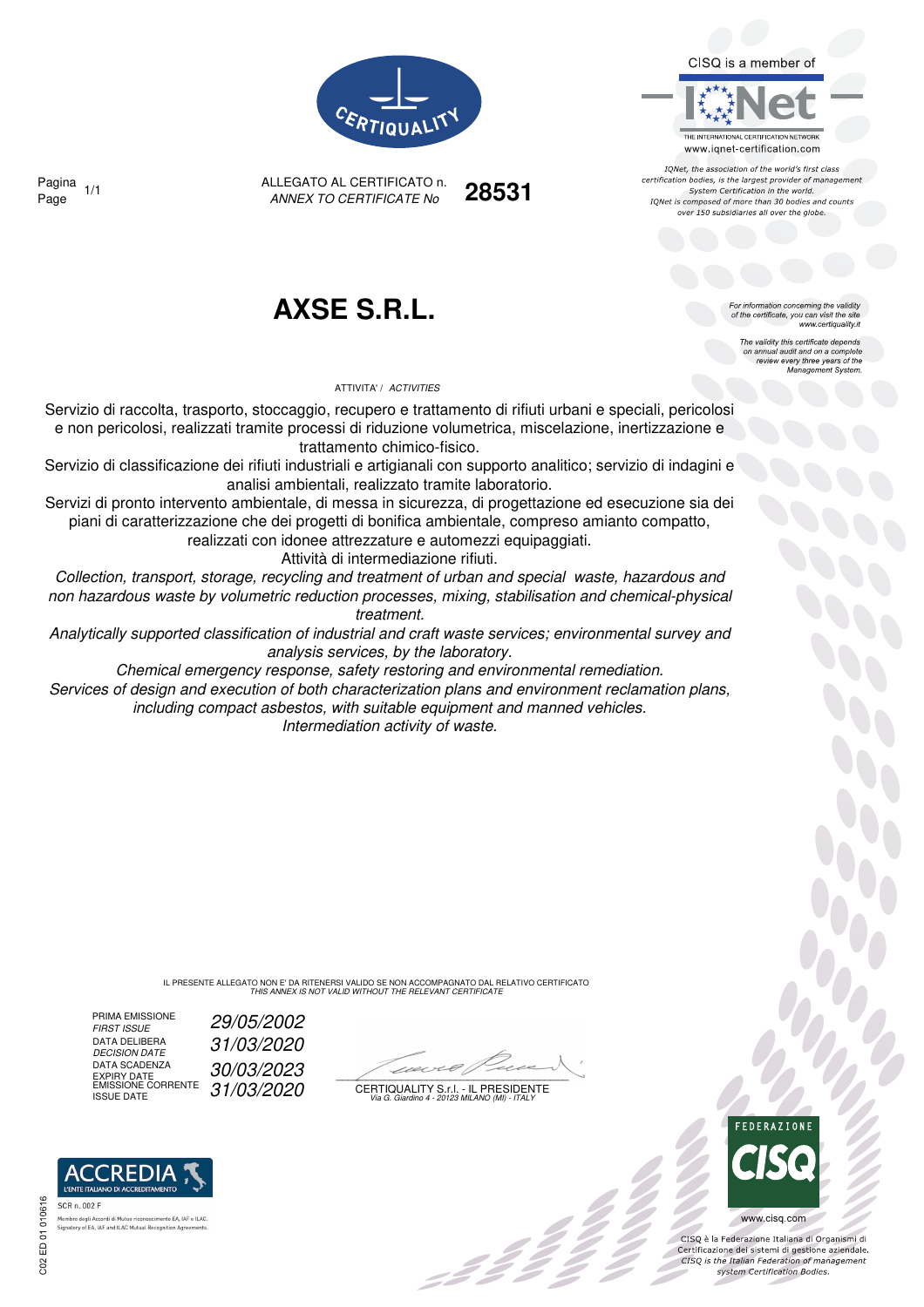CISQ is a member of



IQNet, the association of the world's first class certification bodies, is the largest provider of management System Certification in the world. IONet is composed of more than 30 bodies and counts over 150 subsidiaries all over the globe

> or information concerning the validity of the certificate, you can visit the site

The validity this certificate depends on annual audit and on a complete<br>on annual audit and on a complete<br>review every three years of the<br>Management System.

www.certiquality.it



ANNEX TO CERTIFICATE No Page 1/1 **28531** Pagina

**AXSE S.R.L.**

ALLEGATO AL CERTIFICATO n.

ATTIVITA' / ACTIVITIES

Servizio di raccolta, trasporto, stoccaggio, recupero e trattamento di rifiuti urbani e speciali, pericolosi e non pericolosi, realizzati tramite processi di riduzione volumetrica, miscelazione, inertizzazione e trattamento chimico-fisico.

Servizio di classificazione dei rifiuti industriali e artigianali con supporto analitico; servizio di indagini e analisi ambientali, realizzato tramite laboratorio.

Servizi di pronto intervento ambientale, di messa in sicurezza, di progettazione ed esecuzione sia dei piani di caratterizzazione che dei progetti di bonifica ambientale, compreso amianto compatto,

realizzati con idonee attrezzature e automezzi equipaggiati.

Attività di intermediazione rifiuti.

Collection, transport, storage, recycling and treatment of urban and special waste, hazardous and non hazardous waste by volumetric reduction processes, mixing, stabilisation and chemical-physical treatment.

Analytically supported classification of industrial and craft waste services; environmental survey and analysis services, by the laboratory.

Chemical emergency response, safety restoring and environmental remediation. Services of design and execution of both characterization plans and environment reclamation plans,

including compact asbestos, with suitable equipment and manned vehicles. Intermediation activity of waste.

> IL PRESENTE ALLEGATO NON E' DA RITENERSI VALIDO SE NON ACCOMPAGNATO DAL RELATIVO CERTIFICATO THIS ANNEX IS NOT VALID WITHOUT THE RELEVANT CERTIFICATE

PRIMA EMISSIONE<br>FIRST ISSUE DATA DELIBERA<br>DECISION DATE DATA SCADENZA DATA SCADENZA  $30/03/2023$ <br>
EXPIRY DATE CORRENTE  $31/03/2020$  CERTIQUAL

'REDI

nto EA, IAF e ILAC

29/05/2002 DECISION DATE 31/03/2020

 $\mathcal{L}$ 

EMISSIONE CORRENTE  $\int 31/03/2020$  certiquality S.f.l. - Il Presidente<br>ISSUE DATE variatino 4 - 20123 MILANO (MI) - ITALY



 $\frac{1}{2}$ 

www.cisq.com

CISO è la Federazione Italiana di Organismi di Certificazione dei sistemi di gestione aziendale.<br>Certificazione dei sistemi di gestione aziendale.<br>CISQ is the Italian Federation of management system Certification Bodies.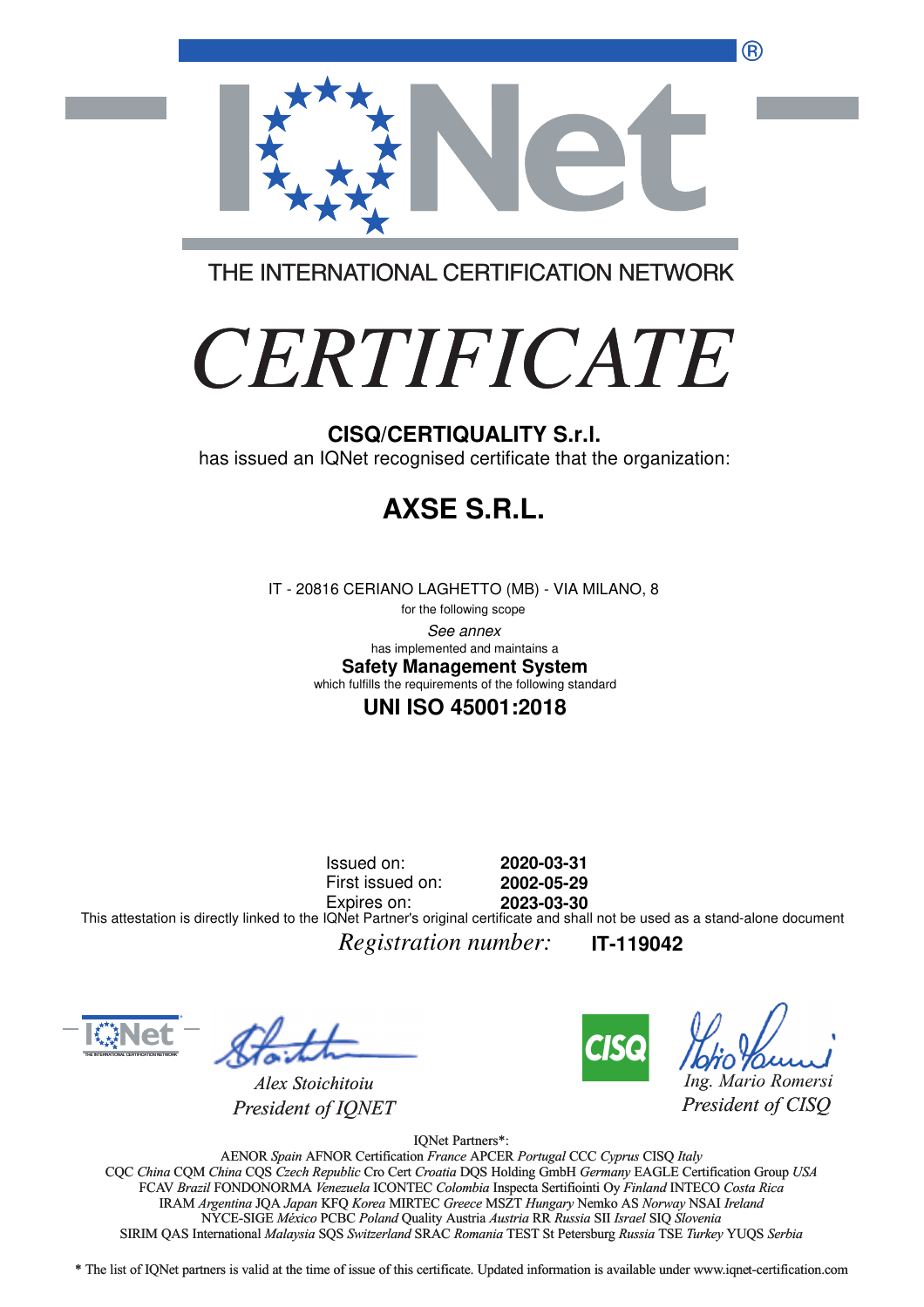®



THE INTERNATIONAL CERTIFICATION NETWORK

# *CERTIFICATE*

has issued an IQNet recognised certificate that the organization:

# **AXSE S.R.L.**

IT - 20816 CERIANO LAGHETTO (MB) - VIA MILANO, 8

for the following scope See annex **Safety Management System** has implemented and maintains a which fulfills the requirements of the following standard

### **UNI ISO 45001:2018**

Issued on: First issued on: Expires on: **2020-03-31 2002-05-29 2023-03-30** This attestation is directly linked to the IQNet Partner's original certificate and shall not be used as a stand-alone document

*Registration number:* **IT-119042**



*Alex Stoichitoiu President of IQNET*



*Ing. Mario Romersi*

*President of CISQ* 

IQNet Partners\*:

AENOR *Spain* AFNOR Certification *France* APCER *Portugal* CCC *Cyprus* CISQ *Italy* CQC *China* CQM *China* CQS *Czech Republic* Cro Cert *Croatia* DQS Holding GmbH *Germany* EAGLE Certification Group *USA* Cro Cert FCAV *Brazil* FONDONORMA *Venezuela* ICONTEC *Colombia* Inspecta Sertifiointi Oy *Finland* INTECO *Costa Rica* IRAM *Argentina* JQA *Japan* KFQ *Korea* MIRTEC *Greece* MSZT *Hungary* Nemko AS *Norway* NSAI *Ireland* NYCE-SIGE *México* PCBC *Poland* Quality Austria *Austria* RR *Russia* SII *Israel* SIQ *Slovenia* RR SIRIM QAS International *Malaysia* SQS *Switzerland* SRAC *Romania* TEST St Petersburg *Russia* TSE *Turkey* YUQS *Serbia* CISQ/CERTIQUALITY S.r.I.<br>
has issued an IQNet recognised certificate that the organizz<br>
FT - 20816 CERIANO LAGHETTO (MB) - VIA MILANO, 8<br>
the history accord in the big of the big measure<br>
this under manufality and the comp

\* The list of IQNet partners is valid at the time of issue of this certificate. Updated information is available under www.iqnet-certification.com